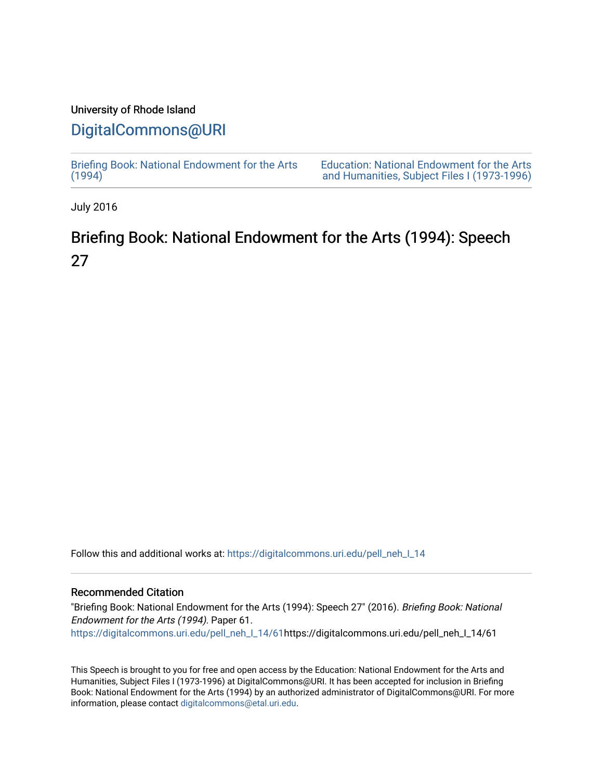### University of Rhode Island

## [DigitalCommons@URI](https://digitalcommons.uri.edu/)

[Briefing Book: National Endowment for the Arts](https://digitalcommons.uri.edu/pell_neh_I_14)  $(1994)$ 

[Education: National Endowment for the Arts](https://digitalcommons.uri.edu/pell_neh_I)  [and Humanities, Subject Files I \(1973-1996\)](https://digitalcommons.uri.edu/pell_neh_I) 

July 2016

# Briefing Book: National Endowment for the Arts (1994): Speech 27

Follow this and additional works at: [https://digitalcommons.uri.edu/pell\\_neh\\_I\\_14](https://digitalcommons.uri.edu/pell_neh_I_14?utm_source=digitalcommons.uri.edu%2Fpell_neh_I_14%2F61&utm_medium=PDF&utm_campaign=PDFCoverPages) 

### Recommended Citation

"Briefing Book: National Endowment for the Arts (1994): Speech 27" (2016). Briefing Book: National Endowment for the Arts (1994). Paper 61. [https://digitalcommons.uri.edu/pell\\_neh\\_I\\_14/61h](https://digitalcommons.uri.edu/pell_neh_I_14/61?utm_source=digitalcommons.uri.edu%2Fpell_neh_I_14%2F61&utm_medium=PDF&utm_campaign=PDFCoverPages)ttps://digitalcommons.uri.edu/pell\_neh\_I\_14/61

This Speech is brought to you for free and open access by the Education: National Endowment for the Arts and Humanities, Subject Files I (1973-1996) at DigitalCommons@URI. It has been accepted for inclusion in Briefing Book: National Endowment for the Arts (1994) by an authorized administrator of DigitalCommons@URI. For more information, please contact [digitalcommons@etal.uri.edu.](mailto:digitalcommons@etal.uri.edu)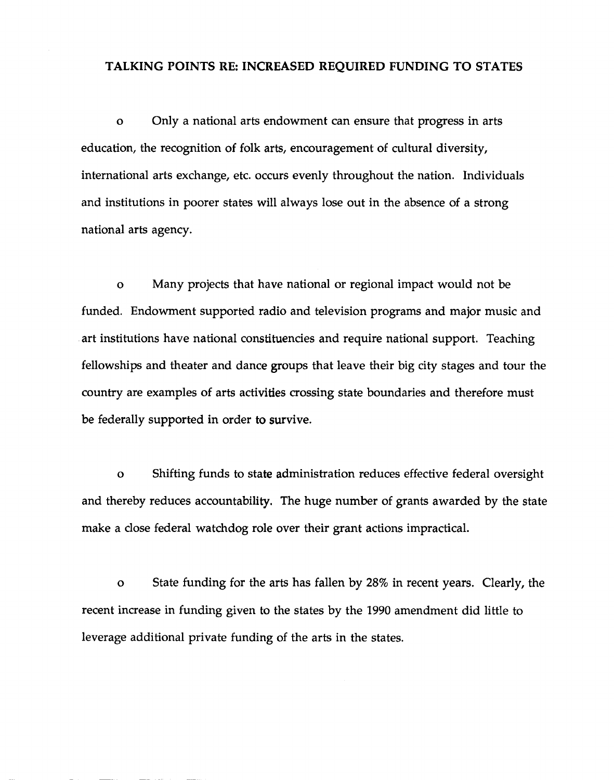### TALKING POINTS RE: INCREASED REQUIRED FUNDING TO STATES

o Only a national arts endowment can ensure that progress in arts education, the recognition of folk arts, encouragement of cultural diversity, international arts exchange, etc. occurs evenly throughout the nation. Individuals and institutions in poorer states will always lose out in the absence of a strong national arts agency.

o Many projects that have national or regional impact would not be funded. Endowment supported radio and television programs and major music and art institutions have national constituencies and require national support. Teaching fellowships and theater and dance groups that leave their big city stages and tour the country are examples of arts activities crossing state boundaries and therefore must be federally supported in order to survive.

o Shifting funds to state administration reduces effective federal oversight and thereby reduces accountability. The huge number of grants awarded by the state make a close federal watchdog role over their grant actions impractical.

o State funding for the arts has fallen by 28% in recent years. Clearly, the recent increase in funding given to the states by the 1990 amendment did little to leverage additional private funding of the arts in the states.